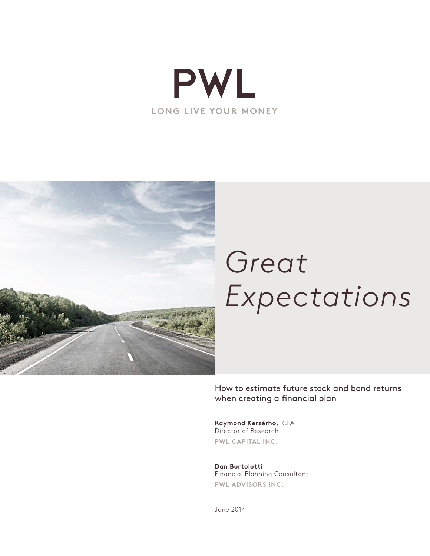



# *Great Expectations*

How to estimate future stock and bond returns when creating a financial plan

**Raymond Kerzérho,** CFA Director of Research **PWL CAPITAL INC.**

**Dan Bortolotti** Financial Planning Consultant **PWL ADVISORS INC.**

June 2014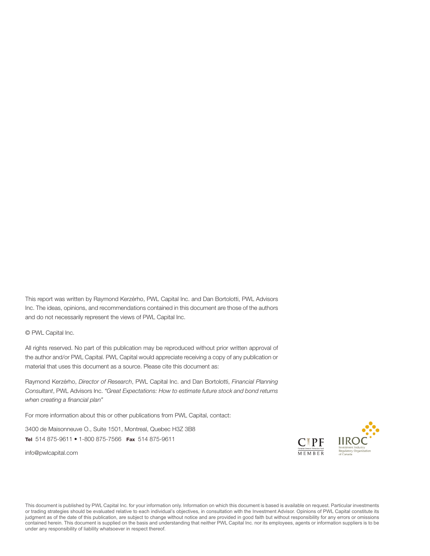This report was written by Raymond Kerzérho, PWL Capital Inc. and Dan Bortolotti, PWL Advisors Inc. The ideas, opinions, and recommendations contained in this document are those of the authors and do not necessarily represent the views of PWL Capital Inc.

© PWL Capital Inc.

All rights reserved. No part of this publication may be reproduced without prior written approval of the author and/or PWL Capital. PWL Capital would appreciate receiving a copy of any publication or material that uses this document as a source. Please cite this document as:

Raymond Kerzérho, *Director of Research*, PWL Capital Inc. and Dan Bortolotti, *Financial Planning Consultant*, PWL Advisors Inc. *"Great Expectations: How to estimate future stock and bond returns when creating a financial plan"* 

For more information about this or other publications from PWL Capital, contact:

3400 de Maisonneuve O., Suite 1501, Montreal, Quebec H3Z 3B8 Tel 514 875-9611 • 1-800 875-7566 Fax 514 875-9611

[info@pwlcapital.com](mailto:info@pwlcapital.com)



This document is published by PWL Capital Inc. for your information only. Information on which this document is based is available on request. Particular investments or trading strategies should be evaluated relative to each individual's objectives, in consultation with the Investment Advisor. Opinions of PWL Capital constitute its judgment as of the date of this publication, are subject to change without notice and are provided in good faith but without responsibility for any errors or omissions contained herein. This document is supplied on the basis and understanding that neither PWL Capital Inc. nor its employees, agents or information suppliers is to be under any responsibility of liability whatsoever in respect thereof.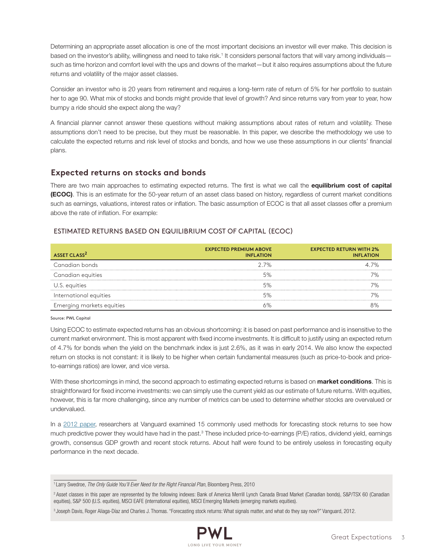Determining an appropriate asset allocation is one of the most important decisions an investor will ever make. This decision is based on the investor's ability, willingness and need to take risk.<sup>1</sup> It considers personal factors that will vary among individuals such as time horizon and comfort level with the ups and downs of the market—but it also requires assumptions about the future returns and volatility of the major asset classes.

Consider an investor who is 20 years from retirement and requires a long-term rate of return of 5% for her portfolio to sustain her to age 90. What mix of stocks and bonds might provide that level of growth? And since returns vary from year to year, how bumpy a ride should she expect along the way?

A financial planner cannot answer these questions without making assumptions about rates of return and volatility. These assumptions don't need to be precise, but they must be reasonable. In this paper, we describe the methodology we use to calculate the expected returns and risk level of stocks and bonds, and how we use these assumptions in our clients' financial plans.

## **Expected returns on stocks and bonds**

There are two main approaches to estimating expected returns. The first is what we call the equilibrium cost of capital (ECOC). This is an estimate for the 50-year return of an asset class based on history, regardless of current market conditions such as earnings, valuations, interest rates or inflation. The basic assumption of ECOC is that all asset classes offer a premium above the rate of inflation. For example:

## ESTIMATED RETURNS BASED ON EQUILIBRIUM COST OF CAPITAL (ECOC)

| ASSET CLASS <sup>2</sup>  | <b>EXPECTED PREMIUM ABOVE</b><br><b>INFLATION</b> | <b>EXPECTED RETURN WITH 2%</b><br><b>INFLATION</b> |
|---------------------------|---------------------------------------------------|----------------------------------------------------|
| Canadian bonds            | $2.7\%$                                           | 4 7%                                               |
| Canadian equities         | 5%                                                |                                                    |
| U.S. equities             |                                                   |                                                    |
| International equities    |                                                   |                                                    |
| Emerging markets equities |                                                   |                                                    |

Source: PWL Capital

Using ECOC to estimate expected returns has an obvious shortcoming: it is based on past performance and is insensitive to the current market environment. This is most apparent with fixed income investments. It is difficult to justify using an expected return of 4.7% for bonds when the yield on the benchmark index is just 2.6%, as it was in early 2014. We also know the expected return on stocks is not constant: it is likely to be higher when certain fundamental measures (such as price-to-book and priceto-earnings ratios) are lower, and vice versa.

With these shortcomings in mind, the second approach to estimating expected returns is based on market conditions. This is straightforward for fixed income investments: we can simply use the current yield as our estimate of future returns. With equities, however, this is far more challenging, since any number of metrics can be used to determine whether stocks are overvalued or undervalued.

In a [2012 paper,](https://personal.vanguard.com/pdf/s338.pdf) researchers at Vanguard examined 15 commonly used methods for forecasting stock returns to see how much predictive power they would have had in the past.<sup>3</sup> These included price-to-earnings (P/E) ratios, dividend yield, earnings growth, consensus GDP growth and recent stock returns. About half were found to be entirely useless in forecasting equity performance in the next decade.

<sup>1</sup> Larry Swedroe, *The Only Guide You'll Ever Need for the Right Financial Plan*, Bloomberg Press, 2010

<sup>&</sup>lt;sup>2</sup> Asset classes in this paper are represented by the following indexes: Bank of America Merrill Lynch Canada Broad Market (Canadian bonds), S&P/TSX 60 (Canadian equities), S&P 500 (U.S. equities), MSCI EAFE (international equities), MSCI Emerging Markets (emerging markets equities).

<sup>3</sup> Joseph Davis, Roger Aliaga-Díaz and Charles J. Thomas. "Forecasting stock returns: What signals matter, and what do they say now?" Vanguard, 2012.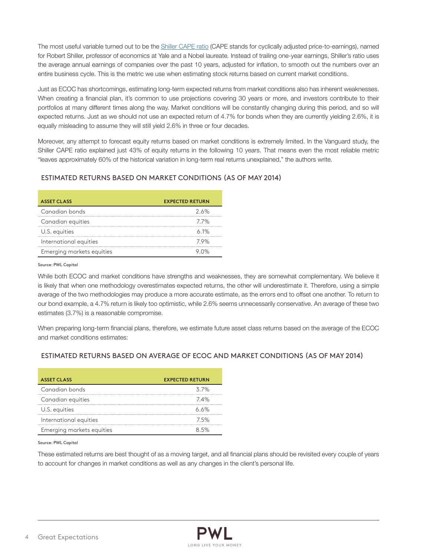The most useful variable turned out to be the [Shiller CAPE ratio](http://www.multpl.com/shiller-pe/) (CAPE stands for cyclically adjusted price-to-earnings), named for Robert Shiller, professor of economics at Yale and a Nobel laureate. Instead of trailing one-year earnings, Shiller's ratio uses the average annual earnings of companies over the past 10 years, adjusted for inflation, to smooth out the numbers over an entire business cycle. This is the metric we use when estimating stock returns based on current market conditions.

Just as ECOC has shortcomings, estimating long-term expected returns from market conditions also has inherent weaknesses. When creating a financial plan, it's common to use projections covering 30 years or more, and investors contribute to their portfolios at many different times along the way. Market conditions will be constantly changing during this period, and so will expected returns. Just as we should not use an expected return of 4.7% for bonds when they are currently yielding 2.6%, it is equally misleading to assume they will still yield 2.6% in three or four decades.

Moreover, any attempt to forecast equity returns based on market conditions is extremely limited. In the Vanguard study, the Shiller CAPE ratio explained just 43% of equity returns in the following 10 years. That means even the most reliable metric "leaves approximately 60% of the historical variation in long-term real returns unexplained," the authors write.

## ESTIMATED RETURNS BASED ON MARKET CONDITIONS (AS OF MAY 2014)

| <b>ASSET CLASS</b>        | <b>EXPECTED RETURN</b> |
|---------------------------|------------------------|
| Canadian bonds            | 2.6%                   |
| Canadian equities         | 77%                    |
| U.S. equities             | $6.1\%$                |
| International equities    | 79%                    |
| Emerging markets equities |                        |

#### Source: PWL Capital

While both ECOC and market conditions have strengths and weaknesses, they are somewhat complementary. We believe it is likely that when one methodology overestimates expected returns, the other will underestimate it. Therefore, using a simple average of the two methodologies may produce a more accurate estimate, as the errors end to offset one another. To return to our bond example, a 4.7% return is likely too optimistic, while 2.6% seems unnecessarily conservative. An average of these two estimates (3.7%) is a reasonable compromise.

When preparing long-term financial plans, therefore, we estimate future asset class returns based on the average of the ECOC and market conditions estimates:

#### ESTIMATED RETURNS BASED ON AVERAGE OF ECOC AND MARKET CONDITIONS (AS OF MAY 2014)

| <b>ASSET CLASS</b>        | <b>EXPECTED RETURN</b> |
|---------------------------|------------------------|
| Canadian bonds            | 37%                    |
| Canadian equities         | 74%                    |
| U.S. equities             | ለ ለ%                   |
| International equities    | 75%                    |
| Emerging markets equities |                        |

#### Source: PWL Capital

These estimated returns are best thought of as a moving target, and all financial plans should be revisited every couple of years to account for changes in market conditions as well as any changes in the client's personal life.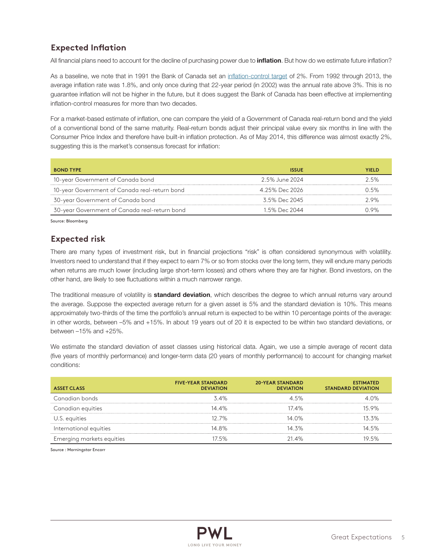# **Expected Inflation**

All financial plans need to account for the decline of purchasing power due to *inflation*. But how do we estimate future inflation?

As a baseline, we note that in 1991 the Bank of Canada set a[n inflation-control target](http://www.bankofcanada.ca/rates/indicators/key-variables/inflation-control-target/) of 2%. From 1992 through 2013, the average inflation rate was 1.8%, and only once during that 22-year period (in 2002) was the annual rate above 3%. This is no guarantee inflation will not be higher in the future, but it does suggest the Bank of Canada has been effective at implementing inflation-control measures for more than two decades.

For a market-based estimate of inflation, one can compare the yield of a Government of Canada real-return bond and the yield of a conventional bond of the same maturity. Real-return bonds adjust their principal value every six months in line with the Consumer Price Index and therefore have built-in inflation protection. As of May 2014, this difference was almost exactly 2%, suggesting this is the market's consensus forecast for inflation:

| <b>BOND TYPE</b>                              | <b>ISSUE</b>     | YIFI D |
|-----------------------------------------------|------------------|--------|
| 10-year Government of Canada bond             | - 2.5% June 2024 | 25%    |
| 10-year Government of Canada real-return bond | 4 25% Dec 2026   | በ 5%   |
| 30-year Government of Canada bond             | 3.5% Dec 2045    | 29%    |
| 30-year Government of Canada real-return bond | 1 5% Dec 2044    | N 9%   |

Source: Bloomberg

# **Expected risk**

There are many types of investment risk, but in financial projections "risk" is often considered synonymous with volatility. Investors need to understand that if they expect to earn 7% or so from stocks over the long term, they will endure many periods when returns are much lower (including large short-term losses) and others where they are far higher. Bond investors, on the other hand, are likely to see fluctuations within a much narrower range.

The traditional measure of volatility is **standard deviation**, which describes the degree to which annual returns vary around the average. Suppose the expected average return for a given asset is 5% and the standard deviation is 10%. This means approximately two-thirds of the time the portfolio's annual return is expected to be within 10 percentage points of the average: in other words, between –5% and +15%. In about 19 years out of 20 it is expected to be within two standard deviations, or between –15% and +25%.

We estimate the standard deviation of asset classes using historical data. Again, we use a simple average of recent data (five years of monthly performance) and longer-term data (20 years of monthly performance) to account for changing market conditions:

| <b>ASSET CLASS</b>        | <b>FIVE-YEAR STANDARD</b><br><b>DEVIATION</b> | <b>20-YEAR STANDARD</b><br><b>DEVIATION</b> | <b>ESTIMATED</b><br><b>STANDARD DEVIATION</b> |
|---------------------------|-----------------------------------------------|---------------------------------------------|-----------------------------------------------|
| Canadian bonds            | $3.4\%$                                       | 45%                                         | $\Delta$ 0%                                   |
| Canadian equities         | $14.4\%$                                      | 174%                                        | 15.9%                                         |
| U.S. equities             | $12.7\%$                                      | 14 በ%                                       | 133%                                          |
| International equities    | 14 8%                                         | 14 3%                                       | 14 5%                                         |
| Emerging markets equities | 175%                                          | $21.4\%$                                    | 19 5%                                         |

Source : Morningstar Encorr

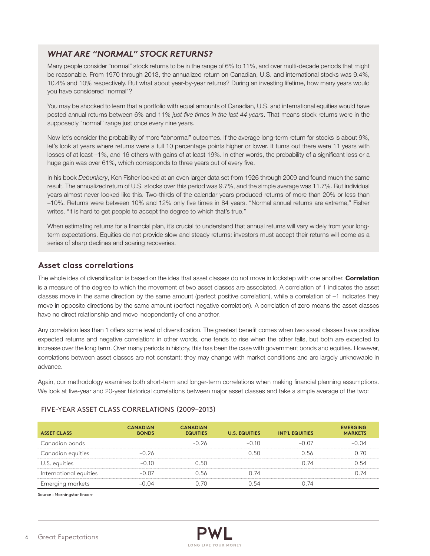# *WHAT ARE "NORMAL" STOCK RETURNS?*

Many people consider "normal" stock returns to be in the range of 6% to 11%, and over multi-decade periods that might be reasonable. From 1970 through 2013, the annualized return on Canadian, U.S. and international stocks was 9.4%, 10.4% and 10% respectively. But what about year-by-year returns? During an investing lifetime, how many years would you have considered "normal"?

You may be shocked to learn that a portfolio with equal amounts of Canadian, U.S. and international equities would have posted annual returns between 6% and 11% *just five times in the last 44 years*. That means stock returns were in the supposedly "normal" range just once every nine years.

Now let's consider the probability of more "abnormal" outcomes. If the average long-term return for stocks is about 9%, let's look at years where returns were a full 10 percentage points higher or lower. It turns out there were 11 years with losses of at least –1%, and 16 others with gains of at least 19%. In other words, the probability of a significant loss or a huge gain was over 61%, which corresponds to three years out of every five.

In his book *Debunkery*, Ken Fisher looked at an even larger data set from 1926 through 2009 and found much the same result. The annualized return of U.S. stocks over this period was 9.7%, and the simple average was 11.7%. But individual years almost never looked like this. Two-thirds of the calendar years produced returns of more than 20% or less than –10%. Returns were between 10% and 12% only five times in 84 years. "Normal annual returns are extreme," Fisher writes. "It is hard to get people to accept the degree to which that's true."

When estimating returns for a financial plan, it's crucial to understand that annual returns will vary widely from your longterm expectations. Equities do not provide slow and steady returns: investors must accept their returns will come as a series of sharp declines and soaring recoveries.

# **Asset class correlations**

The whole idea of diversification is based on the idea that asset classes do not move in lockstep with one another. Correlation is a measure of the degree to which the movement of two asset classes are associated. A correlation of 1 indicates the asset classes move in the same direction by the same amount (perfect positive correlation), while a correlation of –1 indicates they move in opposite directions by the same amount (perfect negative correlation). A correlation of zero means the asset classes have no direct relationship and move independently of one another.

Any correlation less than 1 offers some level of diversification. The greatest benefit comes when two asset classes have positive expected returns and negative correlation: in other words, one tends to rise when the other falls, but both are expected to increase over the long term. Over many periods in history, this has been the case with government bonds and equities. However, correlations between asset classes are not constant: they may change with market conditions and are largely unknowable in advance.

Again, our methodology examines both short-term and longer-term correlations when making financial planning assumptions. We look at five-year and 20-year historical correlations between major asset classes and take a simple average of the two:

| <b>ASSET CLASS</b>     | <b>CANADIAN</b><br><b>RONDS</b> | <b>CANADIAN</b><br><b>EQUITIES</b> | <b>U.S. EQUITIES</b> | <b>INT'L EQUITIES</b> | <b>EMERGING</b><br><b>MARKETS</b> |
|------------------------|---------------------------------|------------------------------------|----------------------|-----------------------|-----------------------------------|
| Canadian bonds         |                                 | -26                                | $-0.10$              | –N N7                 | $-0.04$                           |
| Canadian equities      | $-0.26$                         |                                    |                      | 156                   |                                   |
| U.S. equities          | –റ 1റ                           |                                    |                      | -74                   | -54                               |
| International equities | _N N7                           | ) 56                               |                      |                       |                                   |
| Emerging markets       |                                 |                                    |                      |                       |                                   |

## FIVE-YEAR ASSET CLASS CORRELATIONS (2009–2013)

Source : Morningstar Encorr

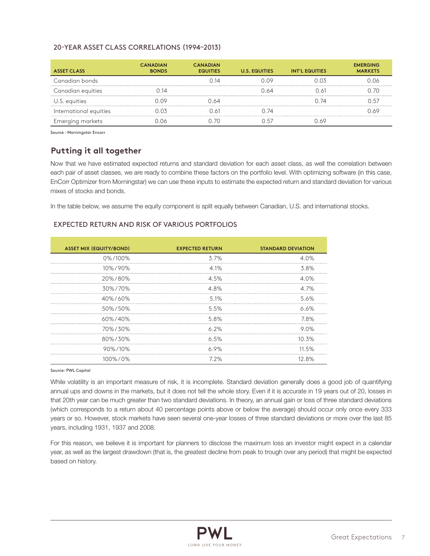## 20-YEAR ASSET CLASS CORRELATIONS (1994–2013)

| <b>ASSET CLASS</b>     | <b>CANADIAN</b><br><b>BONDS</b> | <b>CANADIAN</b><br><b>EQUITIES</b> | <b>U.S. EQUITIES</b> | <b>INT'L EQUITIES</b> | <b>EMERGING</b><br><b>MARKETS</b> |
|------------------------|---------------------------------|------------------------------------|----------------------|-----------------------|-----------------------------------|
| Canadian bonds         |                                 | ገ 14                               |                      | ገ በ3                  |                                   |
| Canadian equities      | ገ 14                            |                                    | 64                   | 1.61                  | ነ 7በ                              |
| U.S. equities          | סח ר                            | ) 64                               |                      | ገ 74                  | ۱5                                |
| International equities |                                 | $\wedge$                           | 74                   |                       |                                   |
| Emerging markets       |                                 | - 70                               |                      | ) ለ9                  |                                   |

Source : Morningstar Encorr

# **Putting it all together**

Now that we have estimated expected returns and standard deviation for each asset class, as well the correlation between each pair of asset classes, we are ready to combine these factors on the portfolio level. With optimizing software (in this case, EnCorr Optimizer from Morningstar) we can use these inputs to estimate the expected return and standard deviation for various mixes of stocks and bonds.

In the table below, we assume the equity component is split equally between Canadian, U.S. and international stocks.

### EXPECTED RETURN AND RISK OF VARIOUS PORTFOLIOS

| <b>ASSET MIX (EQUITY/BOND)</b> | <b>EXPECTED RETURN</b> | <b>STANDARD DEVIATION</b> |
|--------------------------------|------------------------|---------------------------|
| 0%/100%                        | 3.7%                   | 4 በ%                      |
| 10%/90%                        | 4 1%                   | 3.8%                      |
| 20%/80%                        | 4.5%                   | 4 N%                      |
| 30%/70%                        | 4.8%                   | 4 7%                      |
| 40%/60%                        | $5.1\%$                | 5.6%                      |
| 50%/50%                        | 5.5%                   | 6.6%                      |
| $60\% / 40\%$                  | 5.8%                   | 7.8%                      |
| 70%/30%                        | 6.2%                   | 9.0%                      |
| 80%/30%                        | 6.5%                   | $10.3\%$                  |
| 90%/10%                        | 6.9%                   | 11.5%                     |
| 100%/0%                        | 7 2%                   | 12.8%                     |

Source: PWL Capital

While volatility is an important measure of risk, it is incomplete. Standard deviation generally does a good job of quantifying annual ups and downs in the markets, but it does not tell the whole story. Even if it is accurate in 19 years out of 20, losses in that 20th year can be much greater than two standard deviations. In theory, an annual gain or loss of three standard deviations (which corresponds to a return about 40 percentage points above or below the average) should occur only once every 333 years or so. However, stock markets have seen several one-year losses of three standard deviations or more over the last 85 years, including 1931, 1937 and 2008.

For this reason, we believe it is important for planners to disclose the maximum loss an investor might expect in a calendar year, as well as the largest drawdown (that is, the greatest decline from peak to trough over any period) that might be expected based on history.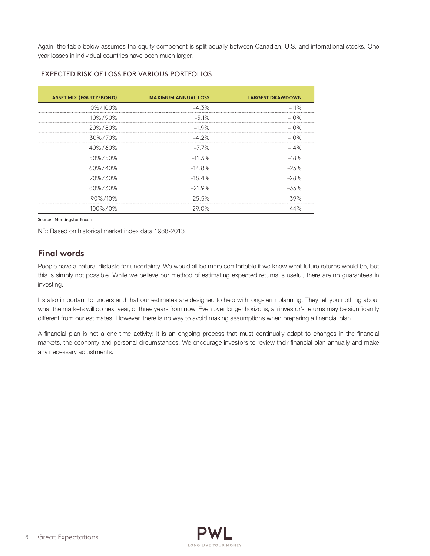Again, the table below assumes the equity component is split equally between Canadian, U.S. and international stocks. One year losses in individual countries have been much larger.

| <b>ASSET MIX (EQUITY/BOND)</b> | <b>MAXIMUM ANNUAL LOSS</b> | <b>LARGEST DRAWDOWN</b> |
|--------------------------------|----------------------------|-------------------------|
|                                |                            |                         |
| 0%/100%                        | $-4.3%$                    | $-11%$                  |
| 10%/90%                        | $-3.1%$                    | $-10%$                  |
| 20%/80%                        | $-1.9\%$                   | $-10%$                  |
| 30%/70%                        | $-4.2\%$                   | $-10%$                  |
| 40%/60%                        | $-7.7\%$                   | $-14%$                  |
| 50%/50%                        | $-11.3%$                   | $-18%$                  |
| $60\% / 40\%$                  | $-14.8\%$                  | $-23%$                  |
| 70%/30%                        | $-18.4%$                   | $-28%$                  |
| 80%/30%                        | $-21.9%$                   | $-3.3\%$                |
| $90\%$ /10%                    | $-25.5%$                   | $-39%$                  |
| 100%/0%                        | $-29.0\%$                  |                         |

#### EXPECTED RISK OF LOSS FOR VARIOUS PORTFOLIOS

Source : Morningstar Encorr

NB: Based on historical market index data 1988-2013

# **Final words**

People have a natural distaste for uncertainty. We would all be more comfortable if we knew what future returns would be, but this is simply not possible. While we believe our method of estimating expected returns is useful, there are no guarantees in investing.

It's also important to understand that our estimates are designed to help with long-term planning. They tell you nothing about what the markets will do next year, or three years from now. Even over longer horizons, an investor's returns may be significantly different from our estimates. However, there is no way to avoid making assumptions when preparing a financial plan.

A financial plan is not a one-time activity: it is an ongoing process that must continually adapt to changes in the financial markets, the economy and personal circumstances. We encourage investors to review their financial plan annually and make any necessary adjustments.

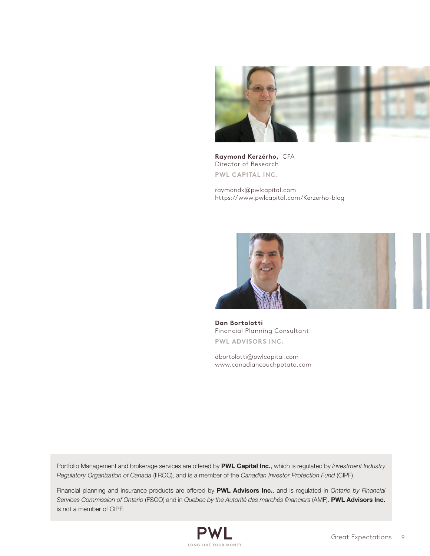

**Raymond Kerzérho,** CFA Director of Research **PWL CAPITAL INC.**

[raymondk@pwlcapital.com](mailto:raymondk@pwlcapital.com) [https://www.pwlcapital.com/Kerzerho-blog](https://www.pwlcapital.com/fr/The-Firm/Research-Department/Blog/Research-Blog)



**Dan Bortolotti** Financial Planning Consultant **PWL ADVISORS INC.**

[dbortolotti@pwlcapital.com](mailto:dbortolotti@pwlcapital.com) [www.canadiancouchpotato.com](http://canadiancouchpotato.com/) 

Portfolio Management and brokerage services are offered by PWL Capital Inc., which is regulated by *Investment Industry Regulatory Organization of Canada* (IIROC), and is a member of the *Canadian Investor Protection Fund* (CIPF).

Financial planning and insurance products are offered by PWL Advisors Inc., and is regulated in *Ontario by Financial Services Commission of Ontario* (FSCO) and in *Quebec by the Autorité des marchés financiers* (AMF). PWL Advisors Inc. is not a member of CIPF.